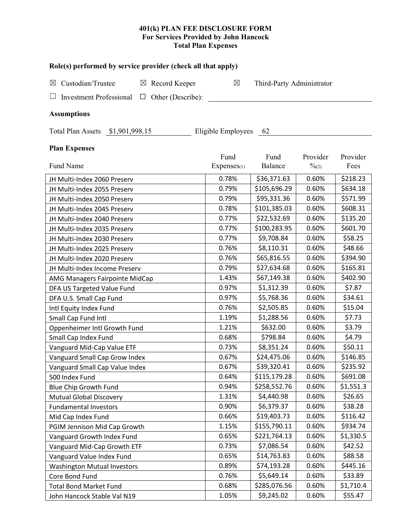# **401(k) PLAN FEE DISCLOSURE FORM For Services Provided by John Hancock Total Plan Expenses**

| Role(s) performed by service provider (check all that apply)  |                     |                           |                               |                  |  |  |  |
|---------------------------------------------------------------|---------------------|---------------------------|-------------------------------|------------------|--|--|--|
| Custodian/Trustee<br>$\boxtimes$ Record Keeper<br>$\boxtimes$ | $\boxtimes$         | Third-Party Administrator |                               |                  |  |  |  |
| Other (Describe):<br><b>Investment Professional</b><br>$\Box$ |                     |                           |                               |                  |  |  |  |
| <b>Assumptions</b>                                            |                     |                           |                               |                  |  |  |  |
|                                                               |                     |                           |                               |                  |  |  |  |
| Total Plan Assets \$1,901,998.15                              | Eligible Employees  | - 62                      |                               |                  |  |  |  |
| <b>Plan Expenses</b>                                          |                     |                           |                               |                  |  |  |  |
| Fund Name                                                     | Fund<br>Expenses(1) | Fund<br>Balance           | Provider<br>$\frac{0}{2}$ (2) | Provider<br>Fees |  |  |  |
| JH Multi-Index 2060 Preserv                                   | 0.78%               | \$36,371.63               | 0.60%                         | \$218.23         |  |  |  |
| JH Multi-Index 2055 Preserv                                   | 0.79%               | \$105,696.29              | 0.60%                         | \$634.18         |  |  |  |
| JH Multi-Index 2050 Preserv                                   | 0.79%               | \$95,331.36               | 0.60%                         | \$571.99         |  |  |  |
| JH Multi-Index 2045 Preserv                                   | 0.78%               | \$101,385.03              | 0.60%                         | \$608.31         |  |  |  |
| JH Multi-Index 2040 Preserv                                   | 0.77%               | \$22,532.69               | 0.60%                         | \$135.20         |  |  |  |
| JH Multi-Index 2035 Preserv                                   | 0.77%               | \$100,283.95              | 0.60%                         | \$601.70         |  |  |  |
| JH Multi-Index 2030 Preserv                                   | 0.77%               | \$9,708.84                | 0.60%                         | \$58.25          |  |  |  |
| JH Multi-Index 2025 Preserv                                   | 0.76%               | \$8,110.31                | 0.60%                         | \$48.66          |  |  |  |
| JH Multi-Index 2020 Preserv                                   | 0.76%               | \$65,816.55               | 0.60%                         | \$394.90         |  |  |  |
| JH Multi-Index Income Preserv                                 | 0.79%               | \$27,634.68               | 0.60%                         | \$165.81         |  |  |  |
| AMG Managers Fairpointe MidCap                                | 1.43%               | \$67,149.38               | 0.60%                         | \$402.90         |  |  |  |
| DFA US Targeted Value Fund                                    | 0.97%               | \$1,312.39                | 0.60%                         | \$7.87           |  |  |  |
| DFA U.S. Small Cap Fund                                       | 0.97%               | \$5,768.36                | 0.60%                         | \$34.61          |  |  |  |
| Intl Equity Index Fund                                        | 0.76%               | \$2,505.85                | 0.60%                         | \$15.04          |  |  |  |
| Small Cap Fund Intl                                           | 1.19%               | \$1,288.56                | 0.60%                         | \$7.73           |  |  |  |
| Oppenheimer Intl Growth Fund                                  | 1.21%               | \$632.00                  | 0.60%                         | \$3.79           |  |  |  |
| Small Cap Index Fund                                          | 0.68%               | \$798.84                  | 0.60%                         | \$4.79           |  |  |  |
| Vanguard Mid-Cap Value ETF                                    | 0.73%               | \$8,351.24                | 0.60%                         | \$50.11          |  |  |  |
| Vanguard Small Cap Grow Index                                 | 0.67%               | \$24,475.06               | 0.60%                         | \$146.85         |  |  |  |
| Vanguard Small Cap Value Index                                | 0.67%               | \$39,320.41               | 0.60%                         | \$235.92         |  |  |  |
| 500 Index Fund                                                | 0.64%               | \$115,179.28              | 0.60%                         | \$691.08         |  |  |  |
| Blue Chip Growth Fund                                         | 0.94%               | \$258,552.76              | 0.60%                         | \$1,551.3        |  |  |  |
| <b>Mutual Global Discovery</b>                                | 1.31%               | \$4,440.98                | 0.60%                         | \$26.65          |  |  |  |
| <b>Fundamental Investors</b>                                  | 0.90%               | \$6,379.37                | 0.60%                         | \$38.28          |  |  |  |
| Mid Cap Index Fund                                            | 0.66%               | \$19,403.73               | 0.60%                         | \$116.42         |  |  |  |
| PGIM Jennison Mid Cap Growth                                  | 1.15%               | \$155,790.11              | 0.60%                         | \$934.74         |  |  |  |
| Vanguard Growth Index Fund                                    | 0.65%               | \$221,764.13              | 0.60%                         | \$1,330.5        |  |  |  |
| Vanguard Mid-Cap Growth ETF                                   | 0.73%               | \$7,086.54                | 0.60%                         | \$42.52          |  |  |  |
| Vanguard Value Index Fund                                     | 0.65%               | \$14,763.83               | 0.60%                         | \$88.58          |  |  |  |
| <b>Washington Mutual Investors</b>                            | 0.89%               | \$74,193.28               | 0.60%                         | \$445.16         |  |  |  |
| Core Bond Fund                                                | 0.76%               | \$5,649.14                | 0.60%                         | \$33.89          |  |  |  |
| <b>Total Bond Market Fund</b>                                 | 0.68%               | \$285,076.56              | 0.60%                         | \$1,710.4        |  |  |  |

John Hancock Stable Val N19 1.05% | \$9,245.02 0.60% | \$55.47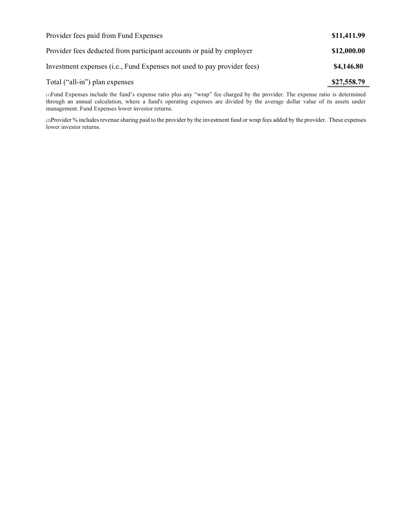| Provider fees paid from Fund Expenses                                   | \$11,411.99 |
|-------------------------------------------------------------------------|-------------|
| Provider fees deducted from participant accounts or paid by employer    | \$12,000.00 |
| Investment expenses (i.e., Fund Expenses not used to pay provider fees) | \$4,146.80  |
| Total ("all-in") plan expenses                                          | \$27,558.79 |

(1)Fund Expenses include the fund's expense ratio plus any "wrap" fee charged by the provider. The expense ratio is determined through an annual calculation, where a fund's operating expenses are divided by the average dollar value of its assets under management. Fund Expenses lower investor returns.

(2)Provider % includes revenue sharing paid to the provider by the investment fund or wrap fees added by the provider. These expenses lower investor returns.